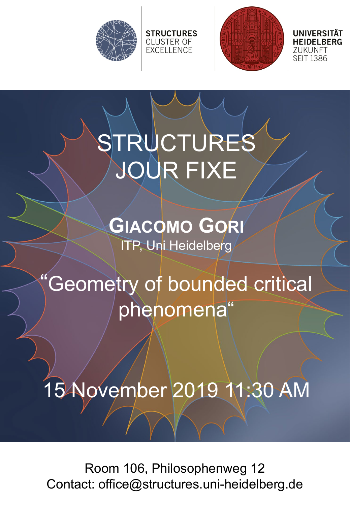



UNIVERSITAT ZUKUNFT **SEIT 1386** 

# STRUCTURES JOUR FIXE

**STRUCTURES** 

**CLUSTER OF EXCELLENCE** 

**GIACOMO GORI** ITP, Uni Heidelberg

### "Geometry of bounded critical phenomena"

### 15 November 2019 11:30 AM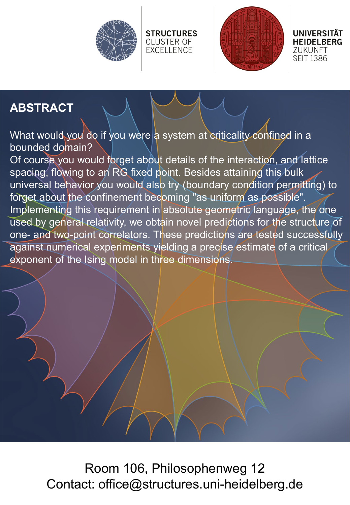



**UNIVERSITÄT HEIDELBERG** ZUKUNFT **SEIT 1386** 

#### **ABSTRACT**

What would you do if you were a system at criticality confined in a bounded domain?

**STRUCTURES** 

**CLUSTER OF** 

**EXCELLENCE** 

Of course you would forget about details of the interaction, and lattice spacing, flowing to an RG fixed point. Besides attaining this bulk universal behavior you would also try (boundary condition permitting) to forget about the confinement becoming "as uniform as possible". Implementing this requirement in absolute geometric language, the one used by general relativity, we obtain novel predictions for the structure of one- and two-point correlators. These predictions are tested successfully against numerical experiments yielding a precise estimate of a critical exponent of the Ising model in three dimensions.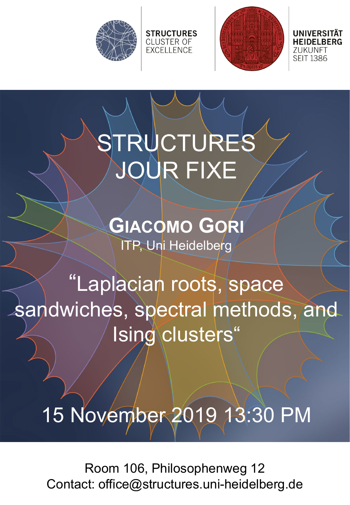



ZUKUNFT **SEIT 1386** 

# STRUCTURES JOUR FIXE

**STRUCTURES CLUSTER OF EXCELLENCE** 

**GIACOMO GORI** ITP, Uni Heidelberg

"Laplacian roots, space sandwiches, spectral methods, and Ising clusters"

15 November 2019 13:30 PM